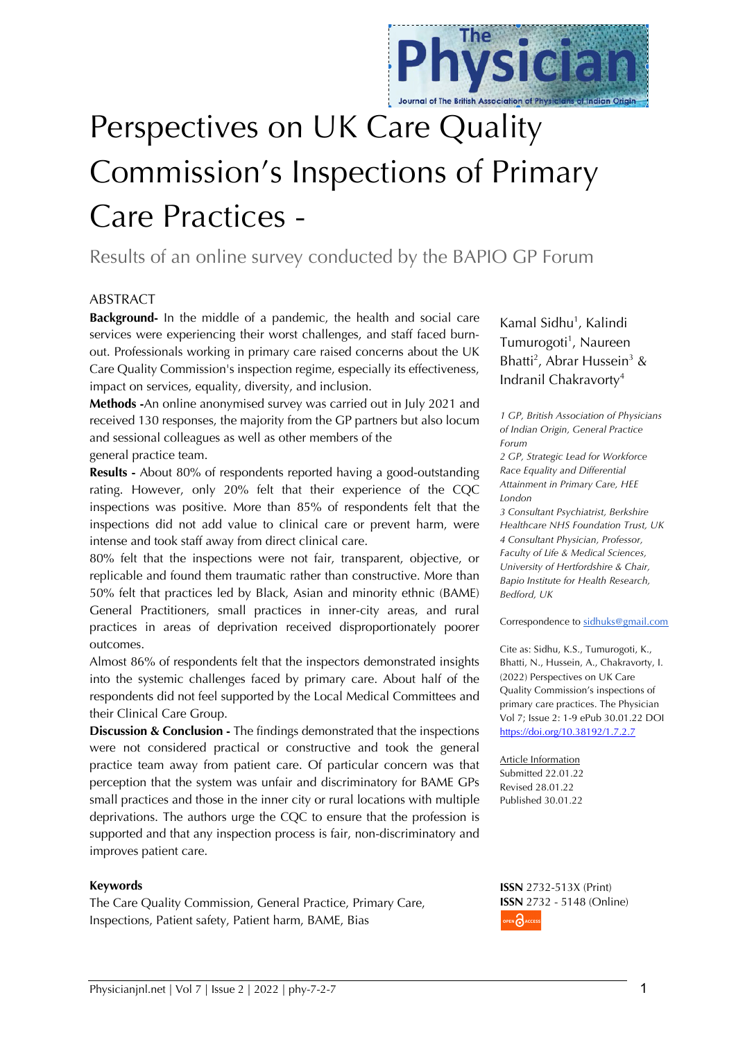

# Perspectives on UK Care Quality Commission's Inspections of Primary Care Practices -

Results of an online survey conducted by the BAPIO GP Forum

## ABSTRACT

**Background-** In the middle of a pandemic, the health and social care services were experiencing their worst challenges, and staff faced burnout. Professionals working in primary care raised concerns about the UK Care Quality Commission's inspection regime, especially its effectiveness, impact on services, equality, diversity, and inclusion.

**Methods -**An online anonymised survey was carried out in July 2021 and received 130 responses, the majority from the GP partners but also locum and sessional colleagues as well as other members of the

general practice team.

**Results -** About 80% of respondents reported having a good-outstanding rating. However, only 20% felt that their experience of the CQC inspections was positive. More than 85% of respondents felt that the inspections did not add value to clinical care or prevent harm, were intense and took staff away from direct clinical care.

80% felt that the inspections were not fair, transparent, objective, or replicable and found them traumatic rather than constructive. More than 50% felt that practices led by Black, Asian and minority ethnic (BAME) General Practitioners, small practices in inner-city areas, and rural practices in areas of deprivation received disproportionately poorer outcomes.

Almost 86% of respondents felt that the inspectors demonstrated insights into the systemic challenges faced by primary care. About half of the respondents did not feel supported by the Local Medical Committees and their Clinical Care Group.

**Discussion & Conclusion -** The findings demonstrated that the inspections were not considered practical or constructive and took the general practice team away from patient care. Of particular concern was that perception that the system was unfair and discriminatory for BAME GPs small practices and those in the inner city or rural locations with multiple deprivations. The authors urge the CQC to ensure that the profession is supported and that any inspection process is fair, non-discriminatory and improves patient care.

#### **Keywords**

The Care Quality Commission, General Practice, Primary Care, Inspections, Patient safety, Patient harm, BAME, Bias

Kamal Sidhu<sup>1</sup>, Kalindi Tumurogoti<sup>1</sup>, Naureen Bhatti<sup>2</sup>, Abrar Hussein<sup>3</sup> & Indranil Chakravorty4

*1 GP, British Association of Physicians of Indian Origin, General Practice Forum*

*2 GP, Strategic Lead for Workforce Race Equality and Differential Attainment in Primary Care, HEE London* 

*3 Consultant Psychiatrist, Berkshire Healthcare NHS Foundation Trust, UK 4 Consultant Physician, Professor, Faculty of Life & Medical Sciences, University of Hertfordshire & Chair, Bapio Institute for Health Research, Bedford, UK*

Correspondence to sidhuks@gmail.com

Cite as: Sidhu, K.S., Tumurogoti, K., Bhatti, N., Hussein, A., Chakravorty, I. (2022) Perspectives on UK Care Quality Commission's inspections of primary care practices. The Physician Vol 7; Issue 2: 1-9 ePub 30.01.22 DOI https://doi.org/10.38192/1.7.2.7

Article Information Submitted 22.01.22 Revised 28.01.22 Published 30.01.22

**ISSN** 2732-513X (Print) **ISSN** 2732 - 5148 (Online)OPEN CACCESS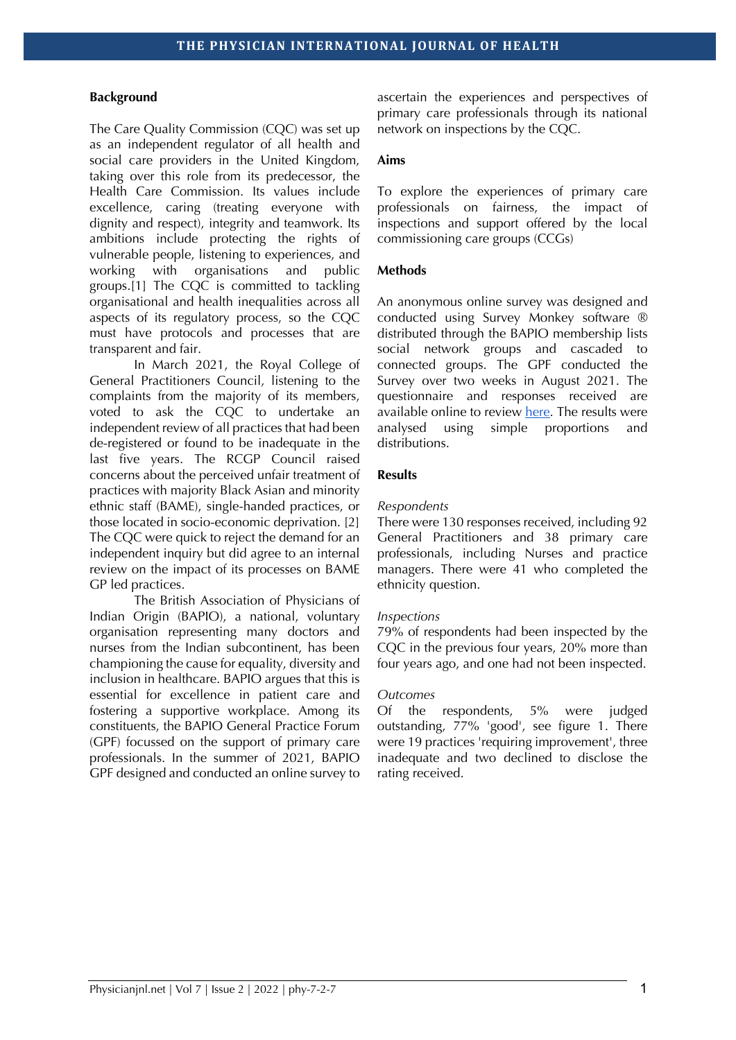## **Background**

The Care Quality Commission (CQC) was set up as an independent regulator of all health and social care providers in the United Kingdom, taking over this role from its predecessor, the Health Care Commission. Its values include excellence, caring (treating everyone with dignity and respect), integrity and teamwork. Its ambitions include protecting the rights of vulnerable people, listening to experiences, and working with organisations and public groups.[1] The CQC is committed to tackling organisational and health inequalities across all aspects of its regulatory process, so the CQC must have protocols and processes that are transparent and fair.

In March 2021, the Royal College of General Practitioners Council, listening to the complaints from the majority of its members, voted to ask the CQC to undertake an independent review of all practices that had been de-registered or found to be inadequate in the last five years. The RCGP Council raised concerns about the perceived unfair treatment of practices with majority Black Asian and minority ethnic staff (BAME), single-handed practices, or those located in socio-economic deprivation. [2] The CQC were quick to reject the demand for an independent inquiry but did agree to an internal review on the impact of its processes on BAME GP led practices.

The British Association of Physicians of Indian Origin (BAPIO), a national, voluntary organisation representing many doctors and nurses from the Indian subcontinent, has been championing the cause for equality, diversity and inclusion in healthcare. BAPIO argues that this is essential for excellence in patient care and fostering a supportive workplace. Among its constituents, the BAPIO General Practice Forum (GPF) focussed on the support of primary care professionals. In the summer of 2021, BAPIO GPF designed and conducted an online survey to

ascertain the experiences and perspectives of primary care professionals through its national network on inspections by the CQC.

### **Aims**

To explore the experiences of primary care professionals on fairness, the impact of inspections and support offered by the local commissioning care groups (CCGs)

### **Methods**

An anonymous online survey was designed and conducted using Survey Monkey software ® distributed through the BAPIO membership lists social network groups and cascaded to connected groups. The GPF conducted the Survey over two weeks in August 2021. The questionnaire and responses received are available online to review here. The results were analysed using simple proportions and distributions.

#### **Results**

#### *Respondents*

There were 130 responses received, including 92 General Practitioners and 38 primary care professionals, including Nurses and practice managers. There were 41 who completed the ethnicity question.

#### *Inspections*

79% of respondents had been inspected by the CQC in the previous four years, 20% more than four years ago, and one had not been inspected.

#### *Outcomes*

Of the respondents, 5% were judged outstanding, 77% 'good', see figure 1. There were 19 practices 'requiring improvement', three inadequate and two declined to disclose the rating received.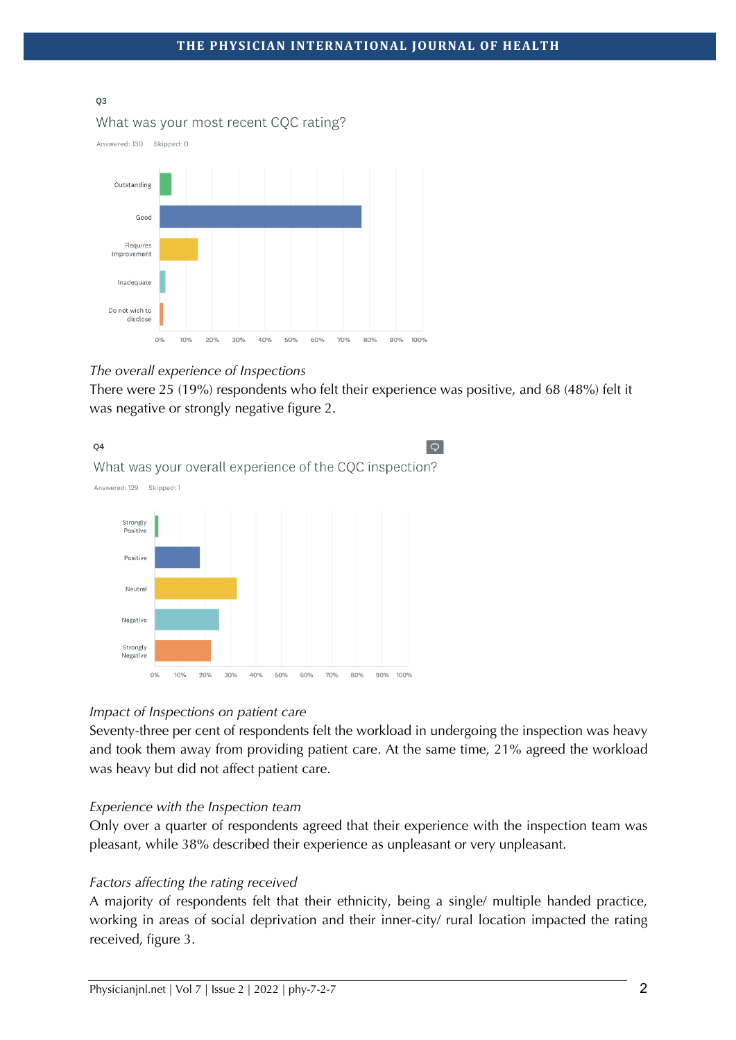#### 03

## What was your most recent CQC rating?





## *The overall experience of Inspections*

There were 25 (19%) respondents who felt their experience was positive, and 68 (48%) felt it was negative or strongly negative figure 2.



## *Impact of Inspections on patient care*

Seventy-three per cent of respondents felt the workload in undergoing the inspection was heavy and took them away from providing patient care. At the same time, 21% agreed the workload was heavy but did not affect patient care.

## *Experience with the Inspection team*

Only over a quarter of respondents agreed that their experience with the inspection team was pleasant, while 38% described their experience as unpleasant or very unpleasant.

## *Factors affecting the rating received*

A majority of respondents felt that their ethnicity, being a single/ multiple handed practice, working in areas of social deprivation and their inner-city/ rural location impacted the rating received, figure 3.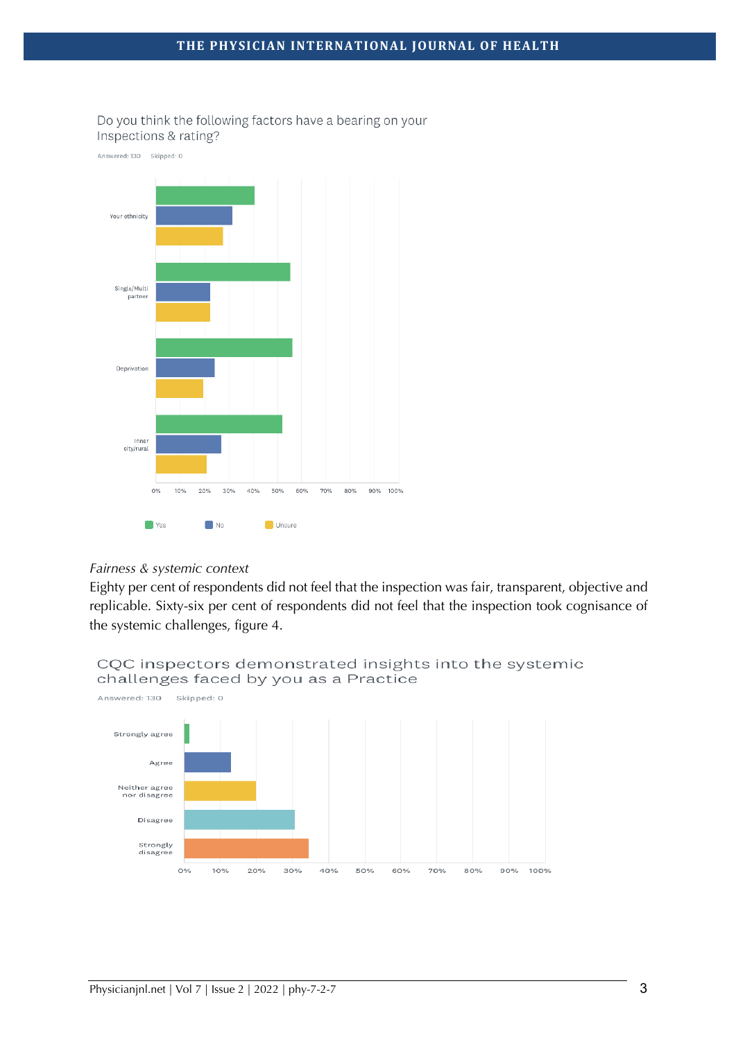

## Do you think the following factors have a bearing on your Inspections & rating?

## *Fairness & systemic context*

Eighty per cent of respondents did not feel that the inspection was fair, transparent, objective and replicable. Sixty-six per cent of respondents did not feel that the inspection took cognisance of the systemic challenges, figure 4.

# CQC inspectors demonstrated insights into the systemic challenges faced by you as a Practice

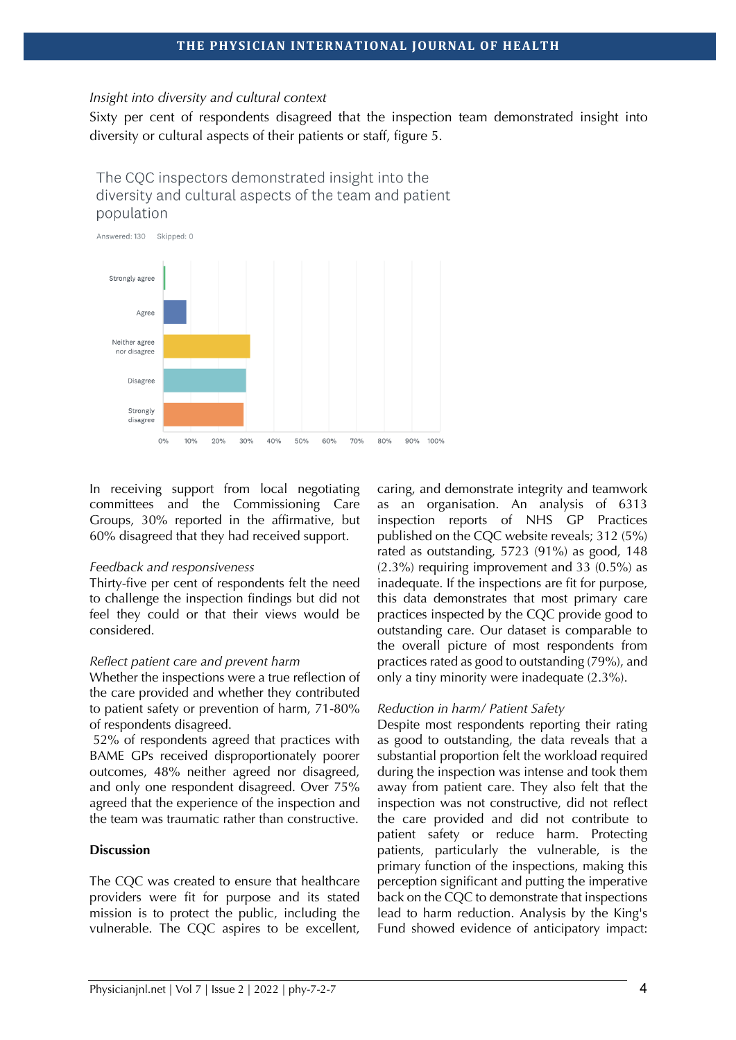#### *Insight into diversity and cultural context*

Sixty per cent of respondents disagreed that the inspection team demonstrated insight into diversity or cultural aspects of their patients or staff, figure 5.

The COC inspectors demonstrated insight into the diversity and cultural aspects of the team and patient population



In receiving support from local negotiating committees and the Commissioning Care Groups, 30% reported in the affirmative, but 60% disagreed that they had received support.

#### *Feedback and responsiveness*

Thirty-five per cent of respondents felt the need to challenge the inspection findings but did not feel they could or that their views would be considered.

#### *Reflect patient care and prevent harm*

Whether the inspections were a true reflection of the care provided and whether they contributed to patient safety or prevention of harm, 71-80% of respondents disagreed.

52% of respondents agreed that practices with BAME GPs received disproportionately poorer outcomes, 48% neither agreed nor disagreed, and only one respondent disagreed. Over 75% agreed that the experience of the inspection and the team was traumatic rather than constructive.

#### **Discussion**

The CQC was created to ensure that healthcare providers were fit for purpose and its stated mission is to protect the public, including the vulnerable. The CQC aspires to be excellent,

caring, and demonstrate integrity and teamwork as an organisation. An analysis of 6313 inspection reports of NHS GP Practices published on the CQC website reveals; 312 (5%) rated as outstanding, 5723 (91%) as good, 148 (2.3%) requiring improvement and 33 (0.5%) as inadequate. If the inspections are fit for purpose, this data demonstrates that most primary care practices inspected by the CQC provide good to outstanding care. Our dataset is comparable to the overall picture of most respondents from practices rated as good to outstanding (79%), and only a tiny minority were inadequate (2.3%).

#### *Reduction in harm/ Patient Safety*

Despite most respondents reporting their rating as good to outstanding, the data reveals that a substantial proportion felt the workload required during the inspection was intense and took them away from patient care. They also felt that the inspection was not constructive, did not reflect the care provided and did not contribute to patient safety or reduce harm. Protecting patients, particularly the vulnerable, is the primary function of the inspections, making this perception significant and putting the imperative back on the CQC to demonstrate that inspections lead to harm reduction. Analysis by the King's Fund showed evidence of anticipatory impact: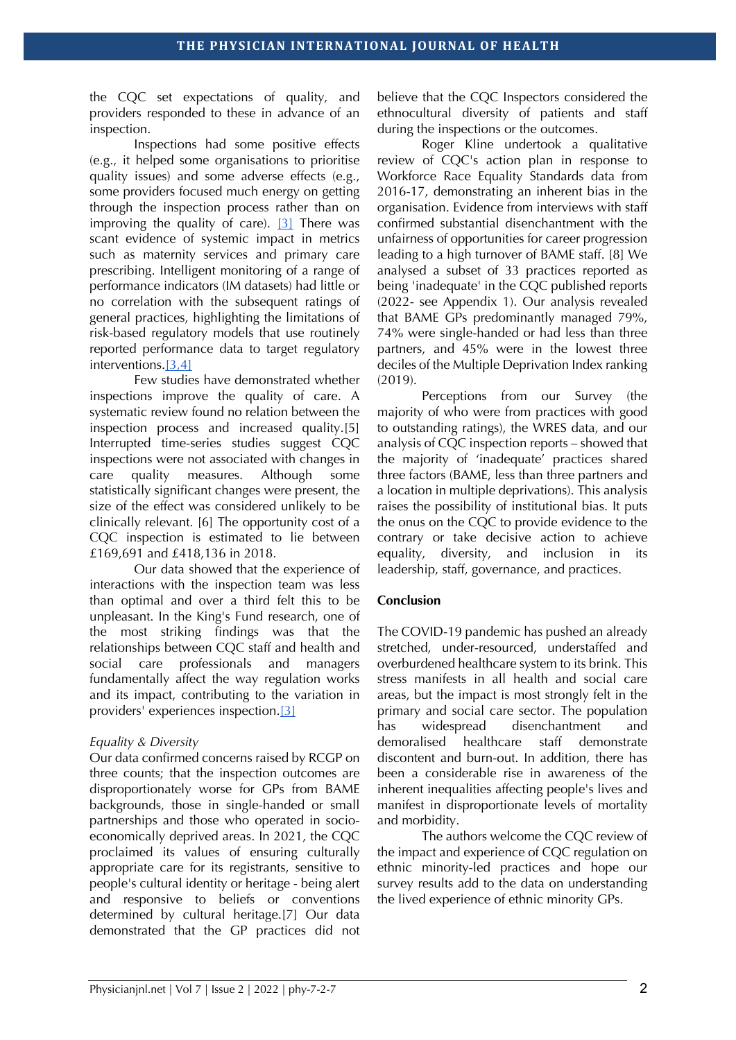the CQC set expectations of quality, and providers responded to these in advance of an inspection.

Inspections had some positive effects (e.g., it helped some organisations to prioritise quality issues) and some adverse effects (e.g., some providers focused much energy on getting through the inspection process rather than on improving the quality of care). [3] There was scant evidence of systemic impact in metrics such as maternity services and primary care prescribing. Intelligent monitoring of a range of performance indicators (IM datasets) had little or no correlation with the subsequent ratings of general practices, highlighting the limitations of risk-based regulatory models that use routinely reported performance data to target regulatory interventions.[3,4]

Few studies have demonstrated whether inspections improve the quality of care. A systematic review found no relation between the inspection process and increased quality.[5] Interrupted time-series studies suggest CQC inspections were not associated with changes in care quality measures. Although some statistically significant changes were present, the size of the effect was considered unlikely to be clinically relevant. [6] The opportunity cost of a CQC inspection is estimated to lie between £169,691 and £418,136 in 2018.

Our data showed that the experience of interactions with the inspection team was less than optimal and over a third felt this to be unpleasant. In the King's Fund research, one of the most striking findings was that the relationships between CQC staff and health and social care professionals and managers fundamentally affect the way regulation works and its impact, contributing to the variation in providers' experiences inspection.[3]

## *Equality & Diversity*

Our data confirmed concerns raised by RCGP on three counts; that the inspection outcomes are disproportionately worse for GPs from BAME backgrounds, those in single-handed or small partnerships and those who operated in socioeconomically deprived areas. In 2021, the CQC proclaimed its values of ensuring culturally appropriate care for its registrants, sensitive to people's cultural identity or heritage - being alert and responsive to beliefs or conventions determined by cultural heritage.[7] Our data demonstrated that the GP practices did not believe that the CQC Inspectors considered the ethnocultural diversity of patients and staff during the inspections or the outcomes.

Roger Kline undertook a qualitative review of CQC's action plan in response to Workforce Race Equality Standards data from 2016-17, demonstrating an inherent bias in the organisation. Evidence from interviews with staff confirmed substantial disenchantment with the unfairness of opportunities for career progression leading to a high turnover of BAME staff. [8] We analysed a subset of 33 practices reported as being 'inadequate' in the CQC published reports (2022- see Appendix 1). Our analysis revealed that BAME GPs predominantly managed 79%, 74% were single-handed or had less than three partners, and 45% were in the lowest three deciles of the Multiple Deprivation Index ranking (2019).

Perceptions from our Survey (the majority of who were from practices with good to outstanding ratings), the WRES data, and our analysis of CQC inspection reports – showed that the majority of 'inadequate' practices shared three factors (BAME, less than three partners and a location in multiple deprivations). This analysis raises the possibility of institutional bias. It puts the onus on the CQC to provide evidence to the contrary or take decisive action to achieve equality, diversity, and inclusion in its leadership, staff, governance, and practices.

# **Conclusion**

The COVID-19 pandemic has pushed an already stretched, under-resourced, understaffed and overburdened healthcare system to its brink. This stress manifests in all health and social care areas, but the impact is most strongly felt in the primary and social care sector. The population has widespread disenchantment and demoralised healthcare staff demonstrate discontent and burn-out. In addition, there has been a considerable rise in awareness of the inherent inequalities affecting people's lives and manifest in disproportionate levels of mortality and morbidity.

The authors welcome the CQC review of the impact and experience of CQC regulation on ethnic minority-led practices and hope our survey results add to the data on understanding the lived experience of ethnic minority GPs.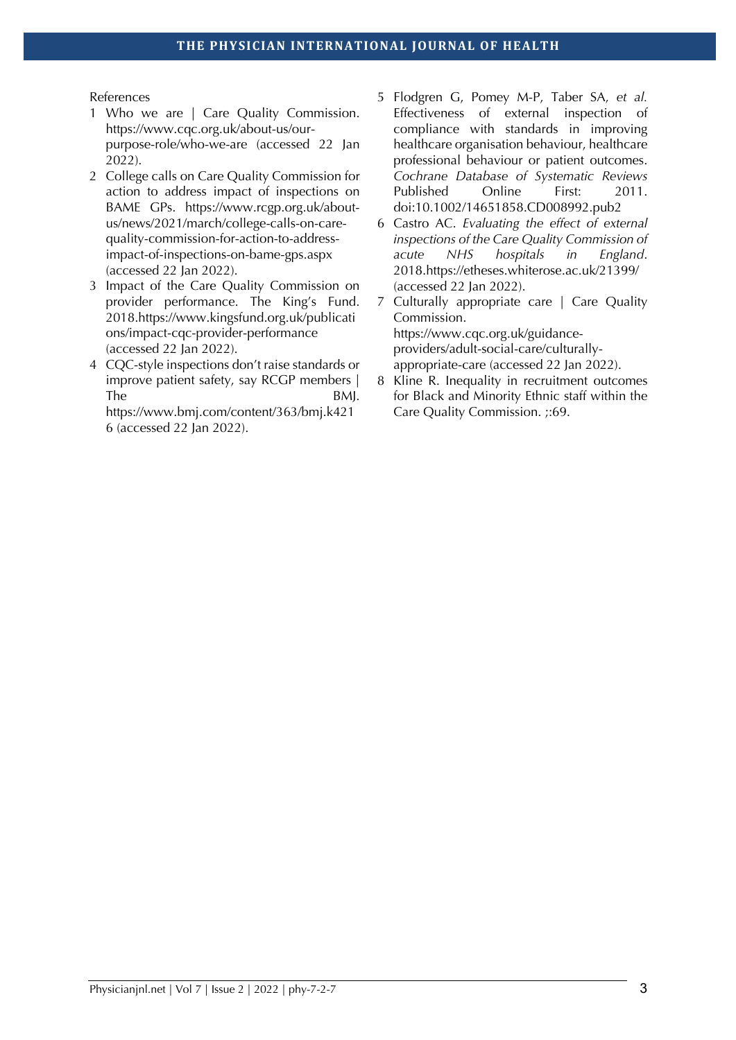References

- 1 Who we are | Care Quality Commission. https://www.cqc.org.uk/about-us/ourpurpose-role/who-we-are (accessed 22 Jan 2022).
- 2 College calls on Care Quality Commission for action to address impact of inspections on BAME GPs. https://www.rcgp.org.uk/aboutus/news/2021/march/college-calls-on-carequality-commission-for-action-to-addressimpact-of-inspections-on-bame-gps.aspx (accessed 22 Jan 2022).
- 3 Impact of the Care Quality Commission on provider performance. The King's Fund. 2018.https://www.kingsfund.org.uk/publicati ons/impact-cqc-provider-performance (accessed 22 Jan 2022).
- 4 CQC-style inspections don't raise standards or improve patient safety, say RCGP members | The BMJ.

https://www.bmj.com/content/363/bmj.k421 6 (accessed 22 Jan 2022).

- 5 Flodgren G, Pomey M-P, Taber SA, *et al.* Effectiveness of external inspection of compliance with standards in improving healthcare organisation behaviour, healthcare professional behaviour or patient outcomes. *Cochrane Database of Systematic Reviews* Published Online First: 2011. doi:10.1002/14651858.CD008992.pub2
- 6 Castro AC. *Evaluating the effect of external inspections of the Care Quality Commission of acute NHS hospitals in England*. 2018.https://etheses.whiterose.ac.uk/21399/ (accessed 22 Jan 2022).
- 7 Culturally appropriate care | Care Quality Commission. https://www.cqc.org.uk/guidanceproviders/adult-social-care/culturallyappropriate-care (accessed 22 Jan 2022).
- 8 Kline R. Inequality in recruitment outcomes for Black and Minority Ethnic staff within the Care Quality Commission. ;:69.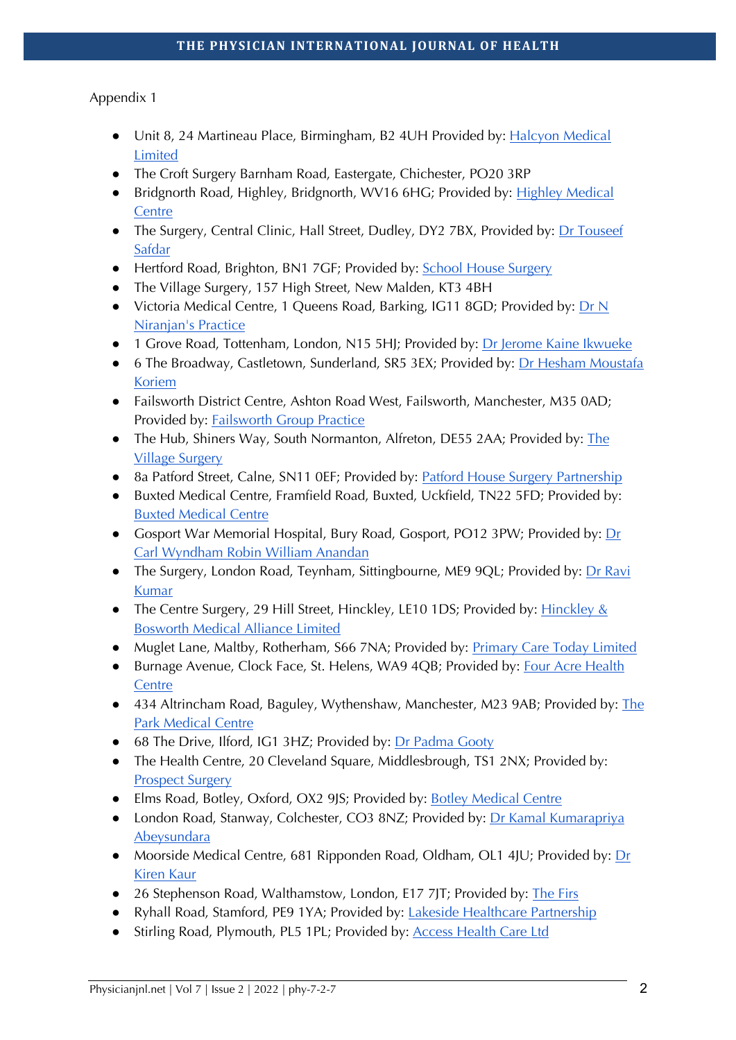# Appendix 1

- Unit 8, 24 Martineau Place, Birmingham, B2 4UH Provided by: Halcyon Medical Limited
- The Croft Surgery Barnham Road, Eastergate, Chichester, PO20 3RP
- Bridgnorth Road, Highley, Bridgnorth, WV16 6HG; Provided by: Highley Medical **Centre**
- The Surgery, Central Clinic, Hall Street, Dudley, DY2 7BX, Provided by: Dr Touseef Safdar
- Hertford Road, Brighton, BN1 7GF; Provided by: School House Surgery
- The Village Surgery, 157 High Street, New Malden, KT3 4BH
- Victoria Medical Centre, 1 Queens Road, Barking, IG11 8GD; Provided by: Dr N Niranjan's Practice
- 1 Grove Road, Tottenham, London, N15 5HJ; Provided by: Dr Jerome Kaine Ikwueke
- 6 The Broadway, Castletown, Sunderland, SR5 3EX; Provided by: Dr Hesham Moustafa Koriem
- Failsworth District Centre, Ashton Road West, Failsworth, Manchester, M35 0AD; Provided by: Failsworth Group Practice
- The Hub, Shiners Way, South Normanton, Alfreton, DE55 2AA; Provided by: The Village Surgery
- 8a Patford Street, Calne, SN11 0EF; Provided by: Patford House Surgery Partnership
- Buxted Medical Centre, Framfield Road, Buxted, Uckfield, TN22 5FD; Provided by: Buxted Medical Centre
- Gosport War Memorial Hospital, Bury Road, Gosport, PO12 3PW; Provided by: Dr Carl Wyndham Robin William Anandan
- The Surgery, London Road, Teynham, Sittingbourne, ME9 9QL; Provided by: Dr Ravi Kumar
- The Centre Surgery, 29 Hill Street, Hinckley, LE10 1DS; Provided by: Hinckley & Bosworth Medical Alliance Limited
- Muglet Lane, Maltby, Rotherham, S66 7NA; Provided by: Primary Care Today Limited
- Burnage Avenue, Clock Face, St. Helens, WA9 4QB; Provided by: Four Acre Health **Centre**
- 434 Altrincham Road, Baguley, Wythenshaw, Manchester, M23 9AB; Provided by: The Park Medical Centre
- 68 The Drive, Ilford, IG1 3HZ; Provided by: Dr Padma Gooty
- The Health Centre, 20 Cleveland Square, Middlesbrough, TS1 2NX; Provided by: Prospect Surgery
- Elms Road, Botley, Oxford, OX2 9JS; Provided by: Botley Medical Centre
- London Road, Stanway, Colchester, CO3 8NZ; Provided by: Dr Kamal Kumarapriya Abeysundara
- Moorside Medical Centre, 681 Ripponden Road, Oldham, OL1 4JU; Provided by:  $Dr$ Kiren Kaur
- 26 Stephenson Road, Walthamstow, London, E17 7JT; Provided by: The Firs
- Ryhall Road, Stamford, PE9 1YA; Provided by: Lakeside Healthcare Partnership
- Stirling Road, Plymouth, PL5 1PL; Provided by: Access Health Care Ltd